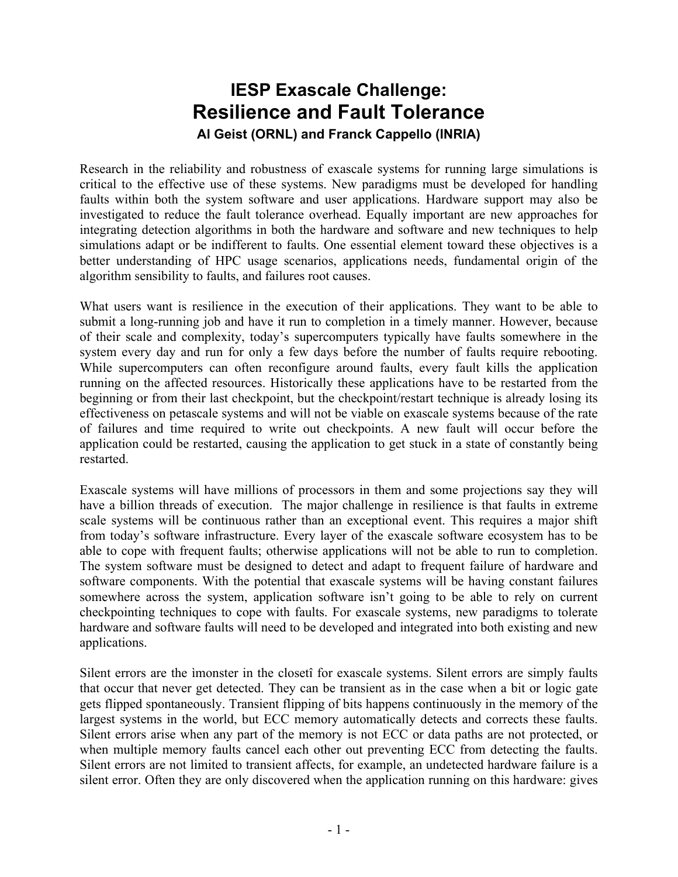## **IESP Exascale Challenge: Resilience and Fault Tolerance**

**Al Geist (ORNL) and Franck Cappello (INRIA)**

Research in the reliability and robustness of exascale systems for running large simulations is critical to the effective use of these systems. New paradigms must be developed for handling faults within both the system software and user applications. Hardware support may also be investigated to reduce the fault tolerance overhead. Equally important are new approaches for integrating detection algorithms in both the hardware and software and new techniques to help simulations adapt or be indifferent to faults. One essential element toward these objectives is a better understanding of HPC usage scenarios, applications needs, fundamental origin of the algorithm sensibility to faults, and failures root causes.

What users want is resilience in the execution of their applications. They want to be able to submit a long-running job and have it run to completion in a timely manner. However, because of their scale and complexity, today's supercomputers typically have faults somewhere in the system every day and run for only a few days before the number of faults require rebooting. While supercomputers can often reconfigure around faults, every fault kills the application running on the affected resources. Historically these applications have to be restarted from the beginning or from their last checkpoint, but the checkpoint/restart technique is already losing its effectiveness on petascale systems and will not be viable on exascale systems because of the rate of failures and time required to write out checkpoints. A new fault will occur before the application could be restarted, causing the application to get stuck in a state of constantly being restarted.

Exascale systems will have millions of processors in them and some projections say they will have a billion threads of execution. The major challenge in resilience is that faults in extreme scale systems will be continuous rather than an exceptional event. This requires a major shift from today's software infrastructure. Every layer of the exascale software ecosystem has to be able to cope with frequent faults; otherwise applications will not be able to run to completion. The system software must be designed to detect and adapt to frequent failure of hardware and software components. With the potential that exascale systems will be having constant failures somewhere across the system, application software isn't going to be able to rely on current checkpointing techniques to cope with faults. For exascale systems, new paradigms to tolerate hardware and software faults will need to be developed and integrated into both existing and new applications.

Silent errors are the ìmonster in the closetî for exascale systems. Silent errors are simply faults that occur that never get detected. They can be transient as in the case when a bit or logic gate gets flipped spontaneously. Transient flipping of bits happens continuously in the memory of the largest systems in the world, but ECC memory automatically detects and corrects these faults. Silent errors arise when any part of the memory is not ECC or data paths are not protected, or when multiple memory faults cancel each other out preventing ECC from detecting the faults. Silent errors are not limited to transient affects, for example, an undetected hardware failure is a silent error. Often they are only discovered when the application running on this hardware: gives